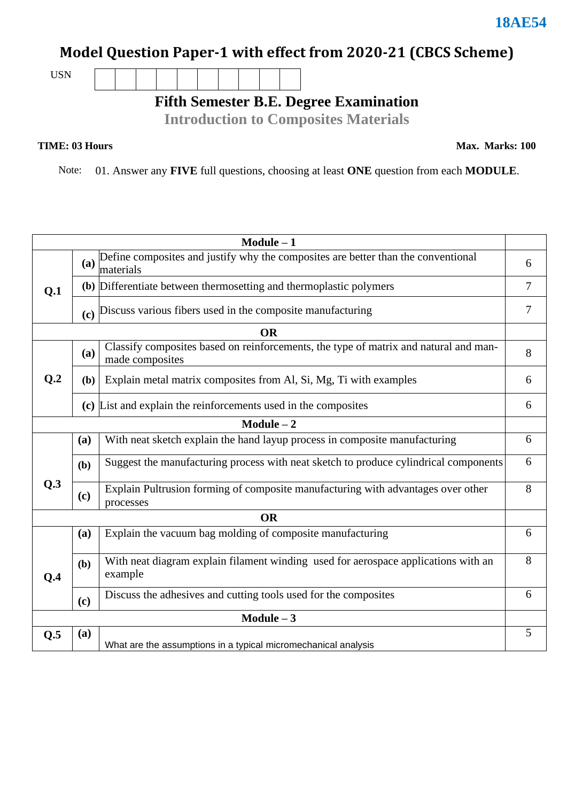# **Model Question Paper-1 with effect from 2020-21 (CBCS Scheme)**

USN

# **Fifth Semester B.E. Degree Examination**

**Introduction to Composites Materials**

#### **TIME: 03 Hours**

**Max. Marks: 100**

Note: 01. Answer any **FIVE** full questions, choosing at least **ONE** question from each **MODULE**.

| $Module - 1$   |     |                                                                                                         |   |  |  |  |
|----------------|-----|---------------------------------------------------------------------------------------------------------|---|--|--|--|
|                | (a) | Define composites and justify why the composites are better than the conventional<br>materials          | 6 |  |  |  |
| Q.1            |     | (b) Differentiate between thermosetting and thermoplastic polymers                                      |   |  |  |  |
|                |     | (c) Discuss various fibers used in the composite manufacturing                                          | 7 |  |  |  |
|                |     | <b>OR</b>                                                                                               |   |  |  |  |
|                | (a) | Classify composites based on reinforcements, the type of matrix and natural and man-<br>made composites | 8 |  |  |  |
| Q <sub>2</sub> | (b) | Explain metal matrix composites from Al, Si, Mg, Ti with examples                                       |   |  |  |  |
|                |     | (c) List and explain the reinforcements used in the composites                                          | 6 |  |  |  |
|                |     | $Module - 2$                                                                                            |   |  |  |  |
|                | (a) | With neat sketch explain the hand layup process in composite manufacturing                              | 6 |  |  |  |
|                | (b) | Suggest the manufacturing process with neat sketch to produce cylindrical components                    | 6 |  |  |  |
| Q.3            | (c) | Explain Pultrusion forming of composite manufacturing with advantages over other<br>processes           | 8 |  |  |  |
| <b>OR</b>      |     |                                                                                                         |   |  |  |  |
|                | (a) | Explain the vacuum bag molding of composite manufacturing                                               | 6 |  |  |  |
| O.4            | (b) | With neat diagram explain filament winding used for aerospace applications with an<br>example           | 8 |  |  |  |
|                | (c) | Discuss the adhesives and cutting tools used for the composites                                         | 6 |  |  |  |
| $Module - 3$   |     |                                                                                                         |   |  |  |  |
| Q.5            | (a) | What are the assumptions in a typical micromechanical analysis                                          | 5 |  |  |  |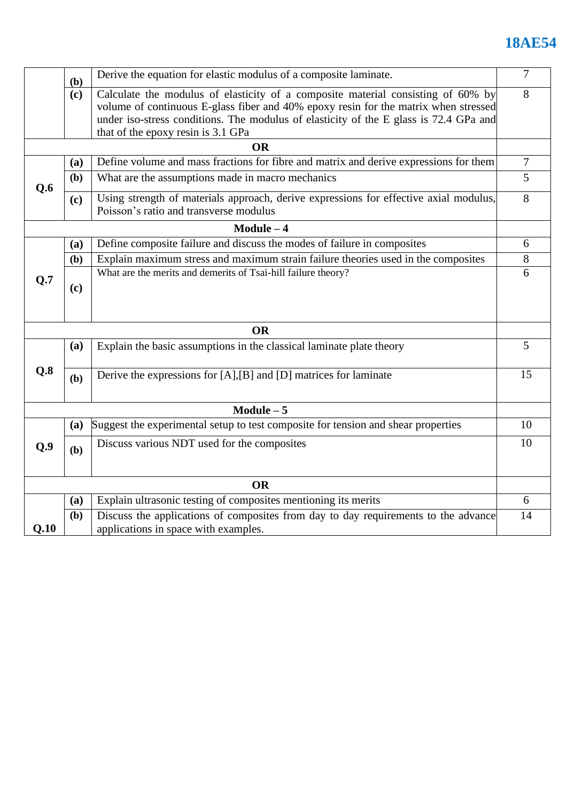# **18AE54**

|           | Derive the equation for elastic modulus of a composite laminate.<br>(b) |                                                                                                                                                                                                                                                                                                        |    |  |  |  |
|-----------|-------------------------------------------------------------------------|--------------------------------------------------------------------------------------------------------------------------------------------------------------------------------------------------------------------------------------------------------------------------------------------------------|----|--|--|--|
|           | (c)                                                                     | Calculate the modulus of elasticity of a composite material consisting of 60% by<br>volume of continuous E-glass fiber and 40% epoxy resin for the matrix when stressed<br>under iso-stress conditions. The modulus of elasticity of the E glass is 72.4 GPa and<br>that of the epoxy resin is 3.1 GPa | 8  |  |  |  |
|           |                                                                         | <b>OR</b>                                                                                                                                                                                                                                                                                              |    |  |  |  |
| Q.6       | (a)                                                                     | Define volume and mass fractions for fibre and matrix and derive expressions for them                                                                                                                                                                                                                  | 7  |  |  |  |
|           | (b)                                                                     | What are the assumptions made in macro mechanics                                                                                                                                                                                                                                                       |    |  |  |  |
|           | (c)                                                                     | Using strength of materials approach, derive expressions for effective axial modulus,<br>Poisson's ratio and transverse modulus                                                                                                                                                                        |    |  |  |  |
|           |                                                                         | $Module - 4$                                                                                                                                                                                                                                                                                           |    |  |  |  |
|           | (a)                                                                     | Define composite failure and discuss the modes of failure in composites                                                                                                                                                                                                                                |    |  |  |  |
|           | (b)                                                                     | Explain maximum stress and maximum strain failure theories used in the composites                                                                                                                                                                                                                      | 8  |  |  |  |
| Q.7       | (c)                                                                     | What are the merits and demerits of Tsai-hill failure theory?                                                                                                                                                                                                                                          | 6  |  |  |  |
| <b>OR</b> |                                                                         |                                                                                                                                                                                                                                                                                                        |    |  |  |  |
| Q.8       | (a)                                                                     | Explain the basic assumptions in the classical laminate plate theory                                                                                                                                                                                                                                   | 5  |  |  |  |
|           | (b)                                                                     | Derive the expressions for [A], [B] and [D] matrices for laminate                                                                                                                                                                                                                                      | 15 |  |  |  |
|           |                                                                         | $Module - 5$                                                                                                                                                                                                                                                                                           |    |  |  |  |
|           | (a)                                                                     | Suggest the experimental setup to test composite for tension and shear properties                                                                                                                                                                                                                      | 10 |  |  |  |
| Q.9       | (b)                                                                     | Discuss various NDT used for the composites                                                                                                                                                                                                                                                            | 10 |  |  |  |
| <b>OR</b> |                                                                         |                                                                                                                                                                                                                                                                                                        |    |  |  |  |
|           | (a)                                                                     | Explain ultrasonic testing of composites mentioning its merits                                                                                                                                                                                                                                         | 6  |  |  |  |
| Q.10      | (b)                                                                     | Discuss the applications of composites from day to day requirements to the advance<br>applications in space with examples.                                                                                                                                                                             | 14 |  |  |  |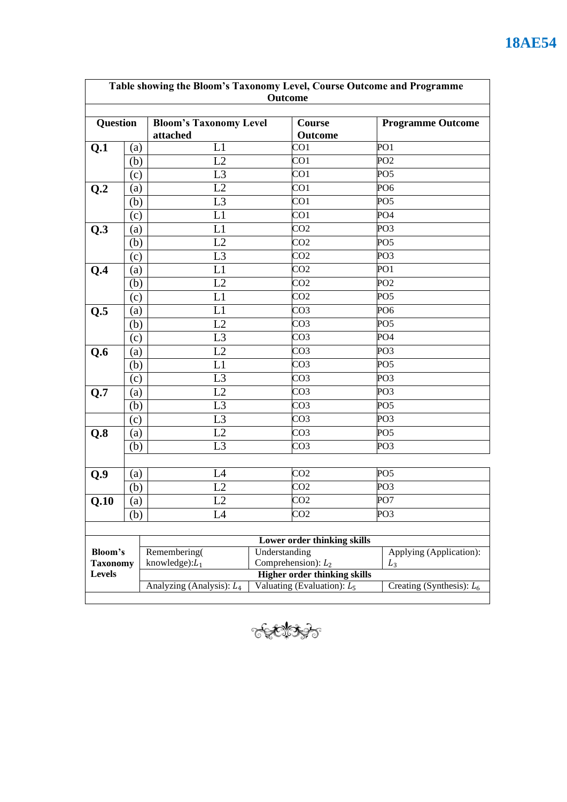| Table showing the Bloom's Taxonomy Level, Course Outcome and Programme |     |                                                              |                                              |                          |  |  |
|------------------------------------------------------------------------|-----|--------------------------------------------------------------|----------------------------------------------|--------------------------|--|--|
|                                                                        |     |                                                              | <b>Outcome</b>                               |                          |  |  |
| <b>Question</b>                                                        |     | <b>Bloom's Taxonomy Level</b><br>attached                    | Course<br>Outcome                            | <b>Programme Outcome</b> |  |  |
| Q.1                                                                    | (a) | L1                                                           | CO <sub>1</sub>                              | PO1                      |  |  |
|                                                                        | (b) | L2                                                           | CO <sub>1</sub>                              | PO <sub>2</sub>          |  |  |
|                                                                        | (c) | L <sub>3</sub>                                               | CO <sub>1</sub>                              | PO <sub>5</sub>          |  |  |
| Q.2                                                                    | (a) | L2                                                           | CO <sub>1</sub>                              | PO <sub>6</sub>          |  |  |
|                                                                        | (b) | L <sub>3</sub>                                               | CO1                                          | PO <sub>5</sub>          |  |  |
|                                                                        | (c) | L1                                                           | CO <sub>1</sub>                              | PO <sub>4</sub>          |  |  |
| Q.3                                                                    | (a) | L1                                                           | CO <sub>2</sub>                              | PO <sub>3</sub>          |  |  |
|                                                                        | (b) | L2                                                           | CO <sub>2</sub>                              | PO <sub>5</sub>          |  |  |
|                                                                        | (c) | L <sub>3</sub>                                               | CO <sub>2</sub>                              | PO <sub>3</sub>          |  |  |
| Q.4                                                                    | (a) | L1                                                           | CO <sub>2</sub>                              | PO <sub>1</sub>          |  |  |
|                                                                        | (b) | L2                                                           | CO <sub>2</sub>                              | PO <sub>2</sub>          |  |  |
|                                                                        | (c) | L1                                                           | CO <sub>2</sub>                              | PO <sub>5</sub>          |  |  |
| Q.5                                                                    | (a) | L1                                                           | CO <sub>3</sub>                              | PO <sub>6</sub>          |  |  |
|                                                                        | (b) | L2                                                           | CO <sub>3</sub>                              | PO <sub>5</sub>          |  |  |
|                                                                        | (c) | L <sub>3</sub>                                               | CO <sub>3</sub>                              | PO <sub>4</sub>          |  |  |
| Q.6                                                                    | (a) | L2                                                           | CO <sub>3</sub>                              | PO <sub>3</sub>          |  |  |
|                                                                        | (b) | L1                                                           | CO <sub>3</sub>                              | PO <sub>5</sub>          |  |  |
|                                                                        | (c) | L <sub>3</sub>                                               | CO <sub>3</sub>                              | PO <sub>3</sub>          |  |  |
| Q.7                                                                    | (a) | L2                                                           | CO <sub>3</sub>                              | PO <sub>3</sub>          |  |  |
|                                                                        | (b) | L <sub>3</sub>                                               | CO <sub>3</sub>                              | PO <sub>5</sub>          |  |  |
|                                                                        | (c) | L <sub>3</sub>                                               | CO <sub>3</sub>                              | PO <sub>3</sub>          |  |  |
| Q.8                                                                    | (a) | L2                                                           | CO <sub>3</sub>                              | PO <sub>5</sub>          |  |  |
|                                                                        | (b) | L <sub>3</sub>                                               | CO3                                          | PO3                      |  |  |
|                                                                        |     |                                                              |                                              |                          |  |  |
| Q.9                                                                    | (a) | L4                                                           | CO <sub>2</sub>                              | PO <sub>5</sub>          |  |  |
|                                                                        | (b) | L2                                                           | CO <sub>2</sub>                              | PO <sub>3</sub>          |  |  |
| Q.10                                                                   | (a) | L2                                                           | CO <sub>2</sub>                              | PO7                      |  |  |
|                                                                        | (b) | L4                                                           | CO <sub>2</sub>                              | PO <sub>3</sub>          |  |  |
|                                                                        |     |                                                              |                                              |                          |  |  |
|                                                                        |     |                                                              | Lower order thinking skills<br>Understanding |                          |  |  |
| Bloom's<br><b>Taxonomy</b><br><b>Levels</b>                            |     | Remembering(<br>knowledge): $L_1$                            | Applying (Application):<br>$L_3$             |                          |  |  |
|                                                                        |     | Comprehension): $L_2$<br><b>Higher order thinking skills</b> |                                              |                          |  |  |
|                                                                        |     | Analyzing (Analysis): L <sub>4</sub>                         | Creating (Synthesis): $L_6$                  |                          |  |  |
|                                                                        |     |                                                              |                                              |                          |  |  |

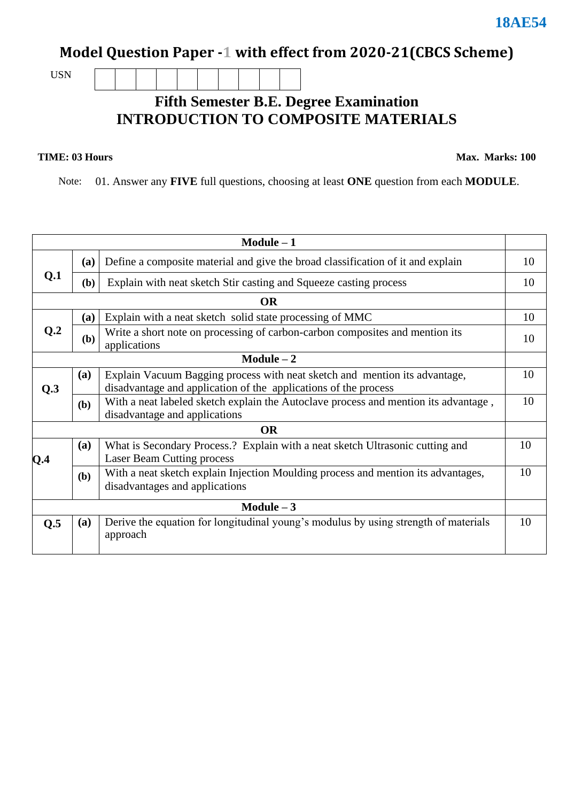### **Model Question Paper -1 with effect from 2020-21(CBCS Scheme)**

USN

#### **Fifth Semester B.E. Degree Examination INTRODUCTION TO COMPOSITE MATERIALS**

#### **TIME: 03 Hours**

**Max. Marks: 100**

Note: 01. Answer any **FIVE** full questions, choosing at least **ONE** question from each **MODULE**.

| $Module - 1$   |              |                                                                                                                                               |    |  |  |
|----------------|--------------|-----------------------------------------------------------------------------------------------------------------------------------------------|----|--|--|
|                | (a)          | Define a composite material and give the broad classification of it and explain                                                               | 10 |  |  |
| Q <sub>1</sub> | (b)          | Explain with neat sketch Stir casting and Squeeze casting process                                                                             |    |  |  |
| <b>OR</b>      |              |                                                                                                                                               |    |  |  |
| Q <sub>0</sub> | (a)          | Explain with a neat sketch solid state processing of MMC                                                                                      | 10 |  |  |
|                | ( <b>b</b> ) | Write a short note on processing of carbon-carbon composites and mention its<br>applications                                                  | 10 |  |  |
| $Module - 2$   |              |                                                                                                                                               |    |  |  |
| Q.3            | (a)          | Explain Vacuum Bagging process with neat sketch and mention its advantage,<br>disadvantage and application of the applications of the process | 10 |  |  |
|                | (b)          | With a neat labeled sketch explain the Autoclave process and mention its advantage,<br>disadvantage and applications                          | 10 |  |  |
|                |              | <b>OR</b>                                                                                                                                     |    |  |  |
| Q.4            | (a)          | What is Secondary Process.? Explain with a neat sketch Ultrasonic cutting and<br><b>Laser Beam Cutting process</b>                            | 10 |  |  |
|                | (b)          | With a neat sketch explain Injection Moulding process and mention its advantages,<br>disadvantages and applications                           |    |  |  |
| Module $-3$    |              |                                                                                                                                               |    |  |  |
| Q.5            | (a)          | Derive the equation for longitudinal young's modulus by using strength of materials<br>approach                                               | 10 |  |  |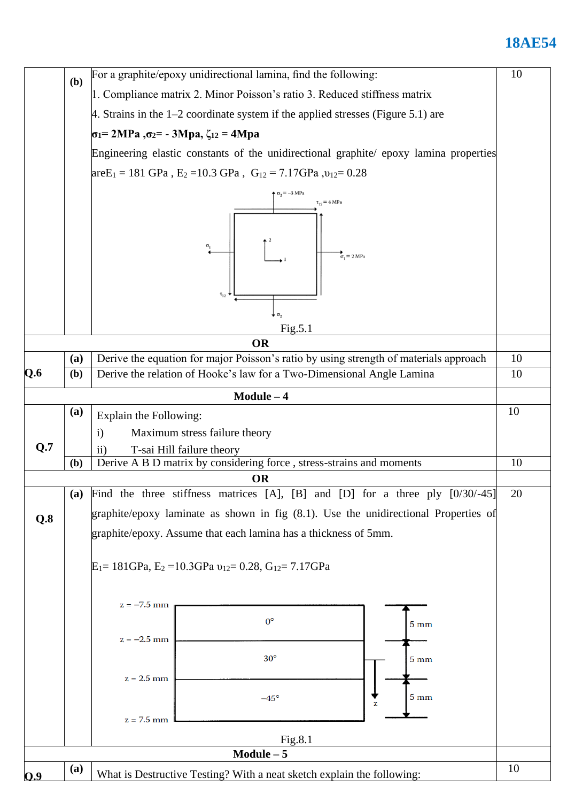### **18AE54**

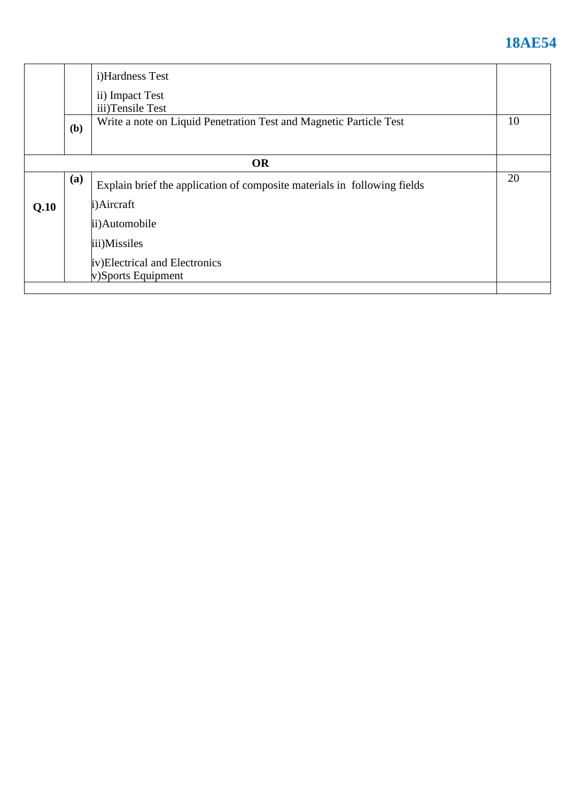# **18AE54**

|           |     | i)Hardness Test                                                          |    |
|-----------|-----|--------------------------------------------------------------------------|----|
|           |     | ii) Impact Test<br>iii)Tensile Test                                      |    |
|           | (b) | Write a note on Liquid Penetration Test and Magnetic Particle Test       | 10 |
| <b>OR</b> |     |                                                                          |    |
|           | (a) | Explain brief the application of composite materials in following fields | 20 |
| Q.10      |     | i)Aircraft                                                               |    |
|           |     | ii)Automobile                                                            |    |
|           |     | iii)Missiles                                                             |    |
|           |     | iv)Electrical and Electronics<br>v)Sports Equipment                      |    |
|           |     |                                                                          |    |